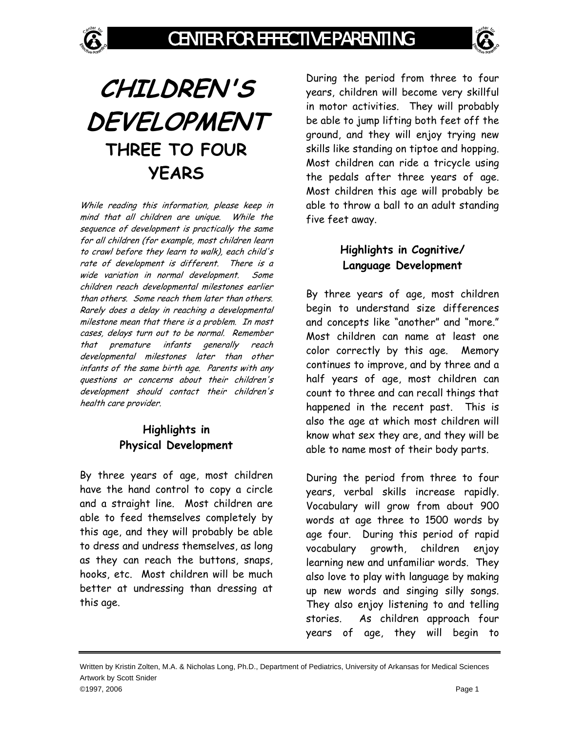# **CHILDREN'S DEVELOPMENT THREE TO FOUR YEARS**

While reading this information, please keep in mind that all children are unique. While the sequence of development is practically the same for all children (for example, most children learn to crawl before they learn to walk), each child's rate of development is different. There is a wide variation in normal development. Some children reach developmental milestones earlier than others. Some reach them later than others. Rarely does a delay in reaching a developmental milestone mean that there is a problem. In most cases, delays turn out to be normal. Remember that premature infants generally reach developmental milestones later than other infants of the same birth age. Parents with any questions or concerns about their children's development should contact their children's health care provider.

#### **Highlights in Physical Development**

By three years of age, most children have the hand control to copy a circle and a straight line. Most children are able to feed themselves completely by this age, and they will probably be able to dress and undress themselves, as long as they can reach the buttons, snaps, hooks, etc. Most children will be much better at undressing than dressing at this age.

During the period from three to four years, children will become very skillful in motor activities. They will probably be able to jump lifting both feet off the ground, and they will enjoy trying new skills like standing on tiptoe and hopping. Most children can ride a tricycle using the pedals after three years of age. Most children this age will probably be able to throw a ball to an adult standing five feet away.

## **Highlights in Cognitive/ Language Development**

By three years of age, most children begin to understand size differences and concepts like "another" and "more." Most children can name at least one color correctly by this age. Memory continues to improve, and by three and a half years of age, most children can count to three and can recall things that happened in the recent past. This is also the age at which most children will know what sex they are, and they will be able to name most of their body parts.

During the period from three to four years, verbal skills increase rapidly. Vocabulary will grow from about 900 words at age three to 1500 words by age four. During this period of rapid vocabulary growth, children enjoy learning new and unfamiliar words. They also love to play with language by making up new words and singing silly songs. They also enjoy listening to and telling stories. As children approach four years of age, they will begin to

Written by Kristin Zolten, M.A. & Nicholas Long, Ph.D., Department of Pediatrics, University of Arkansas for Medical Sciences Artwork by Scott Snider ©1997, 2006 Page 1